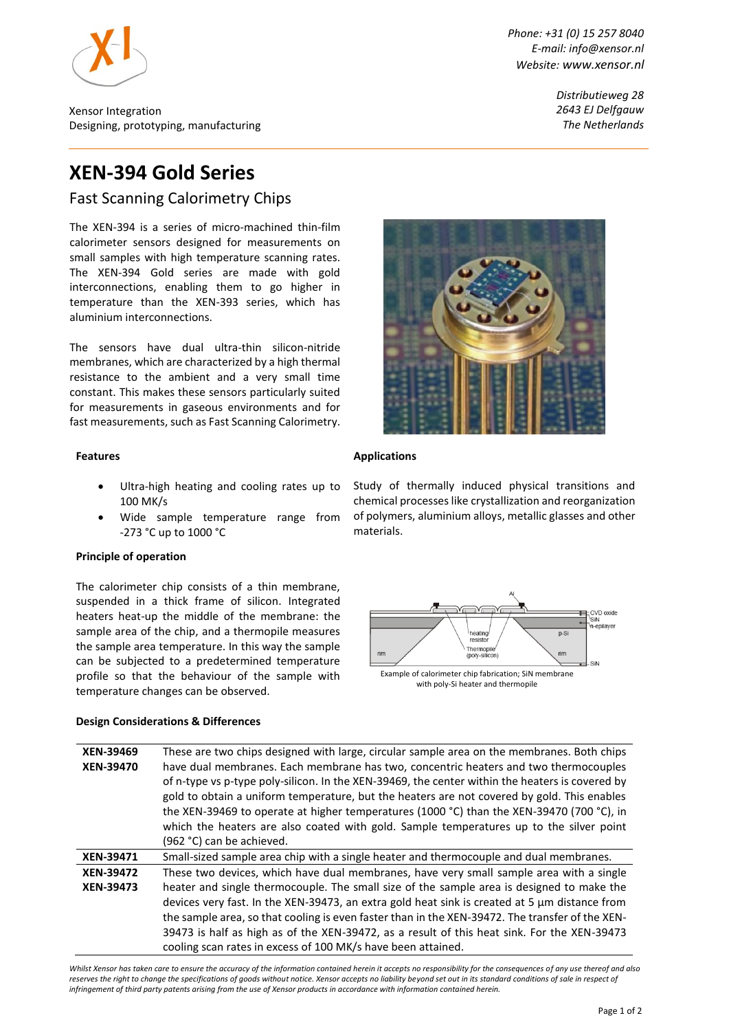

Xensor Integration Designing, prototyping, manufacturing *Phone: +31 (0) 15 257 8040 E-mail: info@xensor.nl Website: [www.xensor.nl](http://www.xensor.nl/)*

> *Distributieweg 28 2643 EJ Delfgauw The Netherlands*

# **XEN-394 Gold Series**

Fast Scanning Calorimetry Chips

The XEN-394 is a series of micro-machined thin-film calorimeter sensors designed for measurements on small samples with high temperature scanning rates. The XEN-394 Gold series are made with gold interconnections, enabling them to go higher in temperature than the XEN-393 series, which has aluminium interconnections.

The sensors have dual ultra-thin silicon-nitride membranes, which are characterized by a high thermal resistance to the ambient and a very small time constant. This makes these sensors particularly suited for measurements in gaseous environments and for fast measurements, such as Fast Scanning Calorimetry.

### **Features**

- Ultra-high heating and cooling rates up to 100 MK/s
- Wide sample temperature range from -273 °C up to 1000 °C

### **Principle of operation**

The calorimeter chip consists of a thin membrane, suspended in a thick frame of silicon. Integrated heaters heat-up the middle of the membrane: the sample area of the chip, and a thermopile measures the sample area temperature. In this way the sample can be subjected to a predetermined temperature profile so that the behaviour of the sample with temperature changes can be observed.

### **Design Considerations & Differences**



### **Applications**

Study of thermally induced physical transitions and chemical processeslike crystallization and reorganization of polymers, aluminium alloys, metallic glasses and other materials.



| XEN-39469<br>XEN-39470 | These are two chips designed with large, circular sample area on the membranes. Both chips<br>have dual membranes. Each membrane has two, concentric heaters and two thermocouples<br>of n-type vs p-type poly-silicon. In the XEN-39469, the center within the heaters is covered by<br>gold to obtain a uniform temperature, but the heaters are not covered by gold. This enables<br>the XEN-39469 to operate at higher temperatures (1000 °C) than the XEN-39470 (700 °C), in<br>which the heaters are also coated with gold. Sample temperatures up to the silver point |
|------------------------|------------------------------------------------------------------------------------------------------------------------------------------------------------------------------------------------------------------------------------------------------------------------------------------------------------------------------------------------------------------------------------------------------------------------------------------------------------------------------------------------------------------------------------------------------------------------------|
|                        | (962 °C) can be achieved.                                                                                                                                                                                                                                                                                                                                                                                                                                                                                                                                                    |
|                        |                                                                                                                                                                                                                                                                                                                                                                                                                                                                                                                                                                              |
| <b>XEN-39471</b>       | Small-sized sample area chip with a single heater and thermocouple and dual membranes.                                                                                                                                                                                                                                                                                                                                                                                                                                                                                       |
| <b>XEN-39472</b>       | These two devices, which have dual membranes, have very small sample area with a single                                                                                                                                                                                                                                                                                                                                                                                                                                                                                      |
| <b>XEN-39473</b>       | heater and single thermocouple. The small size of the sample area is designed to make the                                                                                                                                                                                                                                                                                                                                                                                                                                                                                    |
|                        | devices very fast. In the XEN-39473, an extra gold heat sink is created at 5 $\mu$ m distance from                                                                                                                                                                                                                                                                                                                                                                                                                                                                           |
|                        | the sample area, so that cooling is even faster than in the XEN-39472. The transfer of the XEN-                                                                                                                                                                                                                                                                                                                                                                                                                                                                              |
|                        | 39473 is half as high as of the XEN-39472, as a result of this heat sink. For the XEN-39473                                                                                                                                                                                                                                                                                                                                                                                                                                                                                  |

*Whilst Xensor has taken care to ensure the accuracy of the information contained herein it accepts no responsibility for the consequences of any use thereof and also*  reserves the right to change the specifications of goods without notice. Xensor accepts no liability beyond set out in its standard conditions of sale in respect of *infringement of third party patents arising from the use of Xensor products in accordance with information contained herein.*